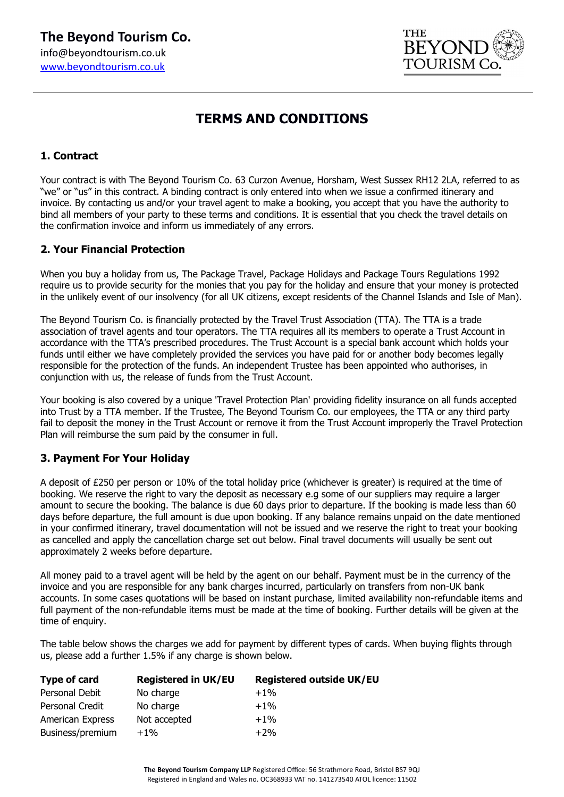

# **TERMS AND CONDITIONS**

# **1. Contract**

Your contract is with The Beyond Tourism Co. 63 Curzon Avenue, Horsham, West Sussex RH12 2LA, referred to as "we" or "us" in this contract. A binding contract is only entered into when we issue a confirmed itinerary and invoice. By contacting us and/or your travel agent to make a booking, you accept that you have the authority to bind all members of your party to these terms and conditions. It is essential that you check the travel details on the confirmation invoice and inform us immediately of any errors.

# **2. Your Financial Protection**

When you buy a holiday from us, The Package Travel, Package Holidays and Package Tours Regulations 1992 require us to provide security for the monies that you pay for the holiday and ensure that your money is protected in the unlikely event of our insolvency (for all UK citizens, except residents of the Channel Islands and Isle of Man).

The Beyond Tourism Co. is financially protected by the Travel Trust Association (TTA). The TTA is a trade association of travel agents and tour operators. The TTA requires all its members to operate a Trust Account in accordance with the TTA's prescribed procedures. The Trust Account is a special bank account which holds your funds until either we have completely provided the services you have paid for or another body becomes legally responsible for the protection of the funds. An independent Trustee has been appointed who authorises, in conjunction with us, the release of funds from the Trust Account.

Your booking is also covered by a unique 'Travel Protection Plan' providing fidelity insurance on all funds accepted into Trust by a TTA member. If the Trustee, The Beyond Tourism Co. our employees, the TTA or any third party fail to deposit the money in the Trust Account or remove it from the Trust Account improperly the Travel Protection Plan will reimburse the sum paid by the consumer in full.

# **3. Payment For Your Holiday**

A deposit of £250 per person or 10% of the total holiday price (whichever is greater) is required at the time of booking. We reserve the right to vary the deposit as necessary e.g some of our suppliers may require a larger amount to secure the booking. The balance is due 60 days prior to departure. If the booking is made less than 60 days before departure, the full amount is due upon booking. If any balance remains unpaid on the date mentioned in your confirmed itinerary, travel documentation will not be issued and we reserve the right to treat your booking as cancelled and apply the cancellation charge set out below. Final travel documents will usually be sent out approximately 2 weeks before departure.

All money paid to a travel agent will be held by the agent on our behalf. Payment must be in the currency of the invoice and you are responsible for any bank charges incurred, particularly on transfers from non-UK bank accounts. In some cases quotations will be based on instant purchase, limited availability non-refundable items and full payment of the non-refundable items must be made at the time of booking. Further details will be given at the time of enquiry.

The table below shows the charges we add for payment by different types of cards. When buying flights through us, please add a further 1.5% if any charge is shown below.

| Type of card     | <b>Registered in UK/EU</b> | <b>Registered outside UK/EU</b> |
|------------------|----------------------------|---------------------------------|
| Personal Debit   | No charge                  | $+1\%$                          |
| Personal Credit  | No charge                  | $+1\%$                          |
| American Express | Not accepted               | $+1\%$                          |
| Business/premium | $+1\%$                     | $+2\%$                          |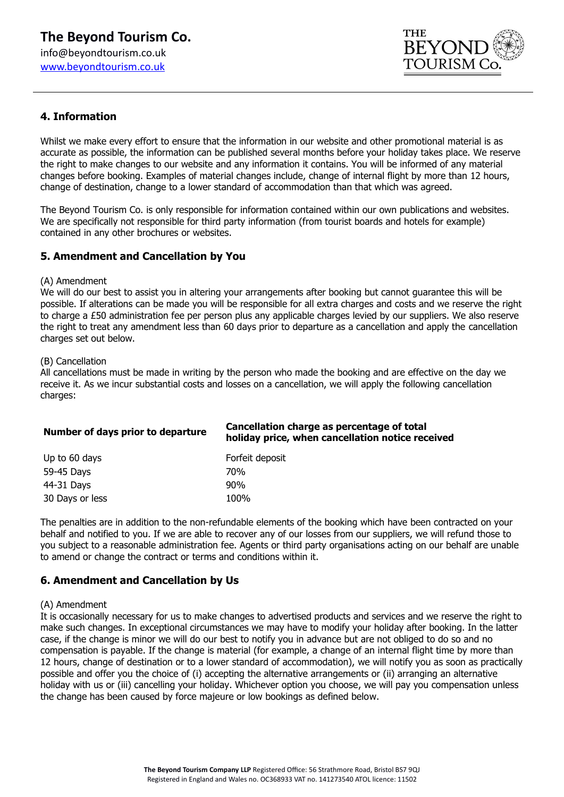

# **4. Information**

Whilst we make every effort to ensure that the information in our website and other promotional material is as accurate as possible, the information can be published several months before your holiday takes place. We reserve the right to make changes to our website and any information it contains. You will be informed of any material changes before booking. Examples of material changes include, change of internal flight by more than 12 hours, change of destination, change to a lower standard of accommodation than that which was agreed.

The Beyond Tourism Co. is only responsible for information contained within our own publications and websites. We are specifically not responsible for third party information (from tourist boards and hotels for example) contained in any other brochures or websites.

## **5. Amendment and Cancellation by You**

#### (A) Amendment

We will do our best to assist you in altering your arrangements after booking but cannot guarantee this will be possible. If alterations can be made you will be responsible for all extra charges and costs and we reserve the right to charge a £50 administration fee per person plus any applicable charges levied by our suppliers. We also reserve the right to treat any amendment less than 60 days prior to departure as a cancellation and apply the cancellation charges set out below.

#### (B) Cancellation

All cancellations must be made in writing by the person who made the booking and are effective on the day we receive it. As we incur substantial costs and losses on a cancellation, we will apply the following cancellation charges:

| Cancellation charge as percentage of total<br>holiday price, when cancellation notice received |
|------------------------------------------------------------------------------------------------|
| Forfeit deposit                                                                                |
| 70%                                                                                            |
| 90%                                                                                            |
| 100%                                                                                           |
|                                                                                                |

The penalties are in addition to the non-refundable elements of the booking which have been contracted on your behalf and notified to you. If we are able to recover any of our losses from our suppliers, we will refund those to you subject to a reasonable administration fee. Agents or third party organisations acting on our behalf are unable to amend or change the contract or terms and conditions within it.

## **6. Amendment and Cancellation by Us**

#### (A) Amendment

It is occasionally necessary for us to make changes to advertised products and services and we reserve the right to make such changes. In exceptional circumstances we may have to modify your holiday after booking. In the latter case, if the change is minor we will do our best to notify you in advance but are not obliged to do so and no compensation is payable. If the change is material (for example, a change of an internal flight time by more than 12 hours, change of destination or to a lower standard of accommodation), we will notify you as soon as practically possible and offer you the choice of (i) accepting the alternative arrangements or (ii) arranging an alternative holiday with us or (iii) cancelling your holiday. Whichever option you choose, we will pay you compensation unless the change has been caused by force majeure or low bookings as defined below.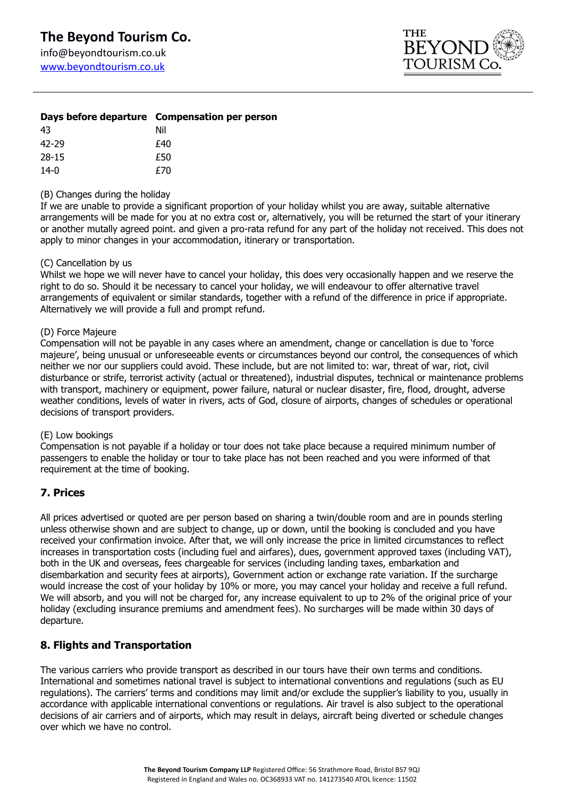# **The Beyond Tourism Co.**

info@beyondtourism.co.uk [www.beyondtourism.co.uk](http://www.beyondtourism.co.uk/)



## **Days before departure Compensation per person**

| 43     | Nil |
|--------|-----|
| 42-29  | £40 |
| 28-15  | £50 |
| $14-0$ | £70 |

#### (B) Changes during the holiday

If we are unable to provide a significant proportion of your holiday whilst you are away, suitable alternative arrangements will be made for you at no extra cost or, alternatively, you will be returned the start of your itinerary or another mutally agreed point. and given a pro-rata refund for any part of the holiday not received. This does not apply to minor changes in your accommodation, itinerary or transportation.

#### (C) Cancellation by us

Whilst we hope we will never have to cancel your holiday, this does very occasionally happen and we reserve the right to do so. Should it be necessary to cancel your holiday, we will endeavour to offer alternative travel arrangements of equivalent or similar standards, together with a refund of the difference in price if appropriate. Alternatively we will provide a full and prompt refund.

#### (D) Force Majeure

Compensation will not be payable in any cases where an amendment, change or cancellation is due to 'force majeure', being unusual or unforeseeable events or circumstances beyond our control, the consequences of which neither we nor our suppliers could avoid. These include, but are not limited to: war, threat of war, riot, civil disturbance or strife, terrorist activity (actual or threatened), industrial disputes, technical or maintenance problems with transport, machinery or equipment, power failure, natural or nuclear disaster, fire, flood, drought, adverse weather conditions, levels of water in rivers, acts of God, closure of airports, changes of schedules or operational decisions of transport providers.

#### (E) Low bookings

Compensation is not payable if a holiday or tour does not take place because a required minimum number of passengers to enable the holiday or tour to take place has not been reached and you were informed of that requirement at the time of booking.

## **7. Prices**

All prices advertised or quoted are per person based on sharing a twin/double room and are in pounds sterling unless otherwise shown and are subject to change, up or down, until the booking is concluded and you have received your confirmation invoice. After that, we will only increase the price in limited circumstances to reflect increases in transportation costs (including fuel and airfares), dues, government approved taxes (including VAT), both in the UK and overseas, fees chargeable for services (including landing taxes, embarkation and disembarkation and security fees at airports), Government action or exchange rate variation. If the surcharge would increase the cost of your holiday by 10% or more, you may cancel your holiday and receive a full refund. We will absorb, and you will not be charged for, any increase equivalent to up to 2% of the original price of your holiday (excluding insurance premiums and amendment fees). No surcharges will be made within 30 days of departure.

## **8. Flights and Transportation**

The various carriers who provide transport as described in our tours have their own terms and conditions. International and sometimes national travel is subject to international conventions and regulations (such as EU regulations). The carriers' terms and conditions may limit and/or exclude the supplier's liability to you, usually in accordance with applicable international conventions or regulations. Air travel is also subject to the operational decisions of air carriers and of airports, which may result in delays, aircraft being diverted or schedule changes over which we have no control.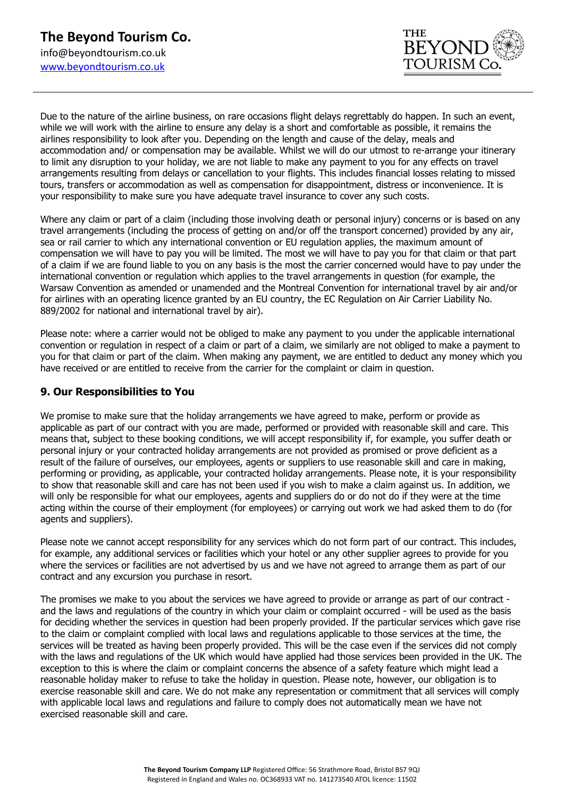

Due to the nature of the airline business, on rare occasions flight delays regrettably do happen. In such an event, while we will work with the airline to ensure any delay is a short and comfortable as possible, it remains the airlines responsibility to look after you. Depending on the length and cause of the delay, meals and accommodation and/ or compensation may be available. Whilst we will do our utmost to re-arrange your itinerary to limit any disruption to your holiday, we are not liable to make any payment to you for any effects on travel arrangements resulting from delays or cancellation to your flights. This includes financial losses relating to missed tours, transfers or accommodation as well as compensation for disappointment, distress or inconvenience. It is your responsibility to make sure you have adequate travel insurance to cover any such costs.

Where any claim or part of a claim (including those involving death or personal injury) concerns or is based on any travel arrangements (including the process of getting on and/or off the transport concerned) provided by any air, sea or rail carrier to which any international convention or EU regulation applies, the maximum amount of compensation we will have to pay you will be limited. The most we will have to pay you for that claim or that part of a claim if we are found liable to you on any basis is the most the carrier concerned would have to pay under the international convention or regulation which applies to the travel arrangements in question (for example, the Warsaw Convention as amended or unamended and the Montreal Convention for international travel by air and/or for airlines with an operating licence granted by an EU country, the EC Regulation on Air Carrier Liability No. 889/2002 for national and international travel by air).

Please note: where a carrier would not be obliged to make any payment to you under the applicable international convention or regulation in respect of a claim or part of a claim, we similarly are not obliged to make a payment to you for that claim or part of the claim. When making any payment, we are entitled to deduct any money which you have received or are entitled to receive from the carrier for the complaint or claim in question.

# **9. Our Responsibilities to You**

We promise to make sure that the holiday arrangements we have agreed to make, perform or provide as applicable as part of our contract with you are made, performed or provided with reasonable skill and care. This means that, subject to these booking conditions, we will accept responsibility if, for example, you suffer death or personal injury or your contracted holiday arrangements are not provided as promised or prove deficient as a result of the failure of ourselves, our employees, agents or suppliers to use reasonable skill and care in making, performing or providing, as applicable, your contracted holiday arrangements. Please note, it is your responsibility to show that reasonable skill and care has not been used if you wish to make a claim against us. In addition, we will only be responsible for what our employees, agents and suppliers do or do not do if they were at the time acting within the course of their employment (for employees) or carrying out work we had asked them to do (for agents and suppliers).

Please note we cannot accept responsibility for any services which do not form part of our contract. This includes, for example, any additional services or facilities which your hotel or any other supplier agrees to provide for you where the services or facilities are not advertised by us and we have not agreed to arrange them as part of our contract and any excursion you purchase in resort.

The promises we make to you about the services we have agreed to provide or arrange as part of our contract and the laws and regulations of the country in which your claim or complaint occurred - will be used as the basis for deciding whether the services in question had been properly provided. If the particular services which gave rise to the claim or complaint complied with local laws and regulations applicable to those services at the time, the services will be treated as having been properly provided. This will be the case even if the services did not comply with the laws and regulations of the UK which would have applied had those services been provided in the UK. The exception to this is where the claim or complaint concerns the absence of a safety feature which might lead a reasonable holiday maker to refuse to take the holiday in question. Please note, however, our obligation is to exercise reasonable skill and care. We do not make any representation or commitment that all services will comply with applicable local laws and regulations and failure to comply does not automatically mean we have not exercised reasonable skill and care.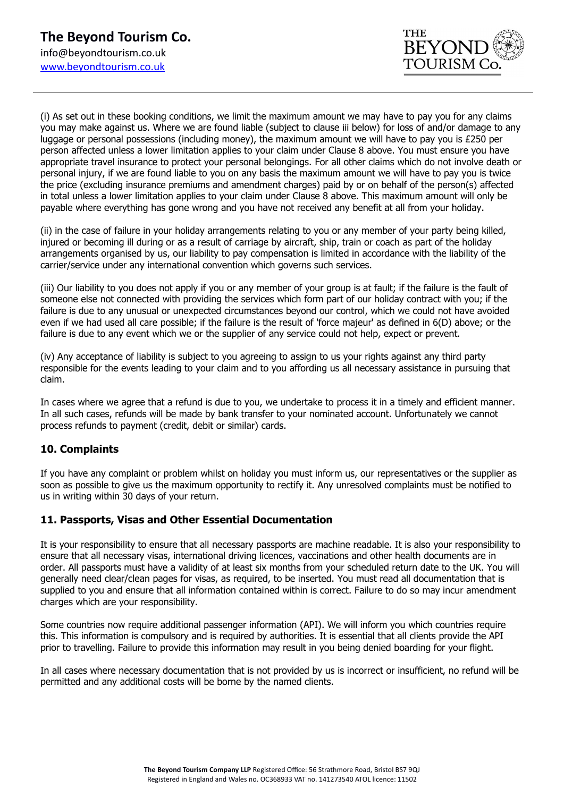

(i) As set out in these booking conditions, we limit the maximum amount we may have to pay you for any claims you may make against us. Where we are found liable (subject to clause iii below) for loss of and/or damage to any luggage or personal possessions (including money), the maximum amount we will have to pay you is £250 per person affected unless a lower limitation applies to your claim under Clause 8 above. You must ensure you have appropriate travel insurance to protect your personal belongings. For all other claims which do not involve death or personal injury, if we are found liable to you on any basis the maximum amount we will have to pay you is twice the price (excluding insurance premiums and amendment charges) paid by or on behalf of the person(s) affected in total unless a lower limitation applies to your claim under Clause 8 above. This maximum amount will only be payable where everything has gone wrong and you have not received any benefit at all from your holiday.

(ii) in the case of failure in your holiday arrangements relating to you or any member of your party being killed, injured or becoming ill during or as a result of carriage by aircraft, ship, train or coach as part of the holiday arrangements organised by us, our liability to pay compensation is limited in accordance with the liability of the carrier/service under any international convention which governs such services.

(iii) Our liability to you does not apply if you or any member of your group is at fault; if the failure is the fault of someone else not connected with providing the services which form part of our holiday contract with you; if the failure is due to any unusual or unexpected circumstances beyond our control, which we could not have avoided even if we had used all care possible; if the failure is the result of 'force majeur' as defined in 6(D) above; or the failure is due to any event which we or the supplier of any service could not help, expect or prevent.

(iv) Any acceptance of liability is subject to you agreeing to assign to us your rights against any third party responsible for the events leading to your claim and to you affording us all necessary assistance in pursuing that claim.

In cases where we agree that a refund is due to you, we undertake to process it in a timely and efficient manner. In all such cases, refunds will be made by bank transfer to your nominated account. Unfortunately we cannot process refunds to payment (credit, debit or similar) cards.

# **10. Complaints**

If you have any complaint or problem whilst on holiday you must inform us, our representatives or the supplier as soon as possible to give us the maximum opportunity to rectify it. Any unresolved complaints must be notified to us in writing within 30 days of your return.

## **11. Passports, Visas and Other Essential Documentation**

It is your responsibility to ensure that all necessary passports are machine readable. It is also your responsibility to ensure that all necessary visas, international driving licences, vaccinations and other health documents are in order. All passports must have a validity of at least six months from your scheduled return date to the UK. You will generally need clear/clean pages for visas, as required, to be inserted. You must read all documentation that is supplied to you and ensure that all information contained within is correct. Failure to do so may incur amendment charges which are your responsibility.

Some countries now require additional passenger information (API). We will inform you which countries require this. This information is compulsory and is required by authorities. It is essential that all clients provide the API prior to travelling. Failure to provide this information may result in you being denied boarding for your flight.

In all cases where necessary documentation that is not provided by us is incorrect or insufficient, no refund will be permitted and any additional costs will be borne by the named clients.